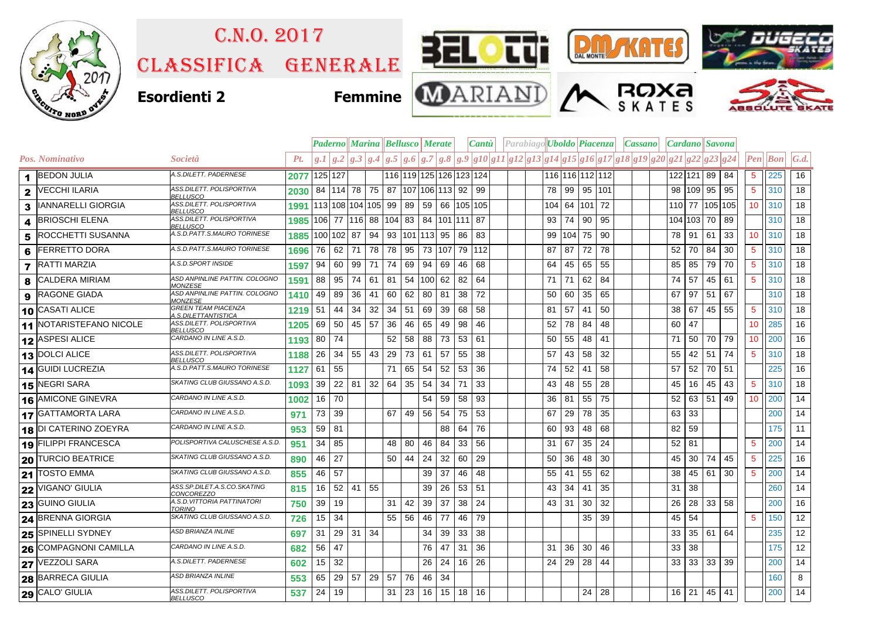

## Classifica generale C.n.o. 2017





**ROXA** 





**Esordienti 2 Femmine**



|                |                              |                                                          | <b>Paderno    Marina    Bellusco    Merate</b> |            |    |                      |                                                   |                                   |    |           |    | Cantu |                              |  | Parabiago Uboldo Piacenza   Cassano   Cardano Savona |    |       |               |                 |                                                                                                   |         |         |             |              |                 |            |                    |
|----------------|------------------------------|----------------------------------------------------------|------------------------------------------------|------------|----|----------------------|---------------------------------------------------|-----------------------------------|----|-----------|----|-------|------------------------------|--|------------------------------------------------------|----|-------|---------------|-----------------|---------------------------------------------------------------------------------------------------|---------|---------|-------------|--------------|-----------------|------------|--------------------|
|                | <b>Pos. Nominativo</b>       | <i>Società</i>                                           | Pt.                                            |            |    |                      |                                                   |                                   |    |           |    |       |                              |  |                                                      |    |       |               |                 | $g.1 g.2 g.3 g.4 g.5 g.6 g.7 g.8 g.9 g10 g11 g12 g13 g14 g15 g16 g17 g18 g19 g20 g21 g22 g23 g24$ |         |         |             |              | Pen             | $\bm{Bon}$ | $\vert G.d. \vert$ |
| 1              | <b>BEDON JULIA</b>           | A.S.DILETT. PADERNESE                                    | 2077                                           | 125 127    |    |                      |                                                   |                                   |    |           |    |       | 116  119  125  126  123  124 |  |                                                      |    |       |               | 116 116 112 112 |                                                                                                   |         | 122 121 | 89 84       |              | 5 <sup>5</sup>  | 225        | 16                 |
| 2              | <b>VECCHI ILARIA</b>         | ASS.DILETT. POLISPORTIVA<br><b>BELLUSCO</b>              | 2030                                           |            |    | 84 114 78 75         |                                                   | 87 107 106 113 92                 |    |           |    |       | 99                           |  |                                                      | 78 | 99    |               | 95 101          |                                                                                                   | 98      | 109     |             | 95 95        | 5               | 310        | 18                 |
| 3              | IANNARELLI GIORGIA           | ASS.DILETT. POLISPORTIVA<br><b>BELLUSCO</b>              | 1991                                           |            |    |                      | $ 113 108 104 105 $ 99   89   59   66   105   105 |                                   |    |           |    |       |                              |  |                                                      |    |       | 104 64 101 72 |                 |                                                                                                   | 110 77  |         |             | 105 105      | 10 <sup>°</sup> | 310        | 18                 |
| 4              | <b>BRIOSCHI ELENA</b>        | ASS.DILETT. POLISPORTIVA<br><b>BELLUSCO</b>              | 1985 106                                       |            |    | 77 116 88            |                                                   | 104 83 84 101 111 87              |    |           |    |       |                              |  |                                                      | 93 | 74    | 90            | 95              |                                                                                                   | 104 103 |         | 70 89       |              |                 | 310        | 18                 |
| 5              | <b>ROCCHETTI SUSANNA</b>     | A.S.D.PATT.S.MAURO TORINESE                              | 1885                                           | 100 102 87 |    |                      | 94                                                | 93 101 113 95                     |    |           |    | 86    | 83                           |  |                                                      |    |       | 99 104 75     | 90              |                                                                                                   | 78      | 91      |             | $61$ 33      | 10 <sup>°</sup> | 310        | 18                 |
| 6              | <b>FERRETTO DORA</b>         | A.S.D.PATT.S.MAURO TORINESE                              | 1696                                           | 76         | 62 | 71                   | 78                                                | 78                                | 95 | 73 107    |    |       | 79 112                       |  |                                                      | 87 | 87    | 72            | 78              |                                                                                                   | 52      | 70      | 84          | 30           | 5 <sup>5</sup>  | 310        | 18                 |
| $\overline{7}$ | <b>RATTI MARZIA</b>          | A.S.D.SPORT INSIDE                                       | 1597                                           | 94         | 60 | 99                   | 71                                                | 74                                | 69 | 94        | 69 | 46    | 68                           |  |                                                      | 64 | 45    | 65            | 55              |                                                                                                   | 85      | 85      | 79          | 70           | 5               | 310        | 18                 |
| 8              | <b>CALDERA MIRIAM</b>        | ASD ANPINLINE PATTIN. COLOGNO<br><i><b>MONZESE</b></i>   | 1591                                           | 88         | 95 | 74                   | 61                                                | 81                                |    | 54 100 62 |    | 82    | 64                           |  |                                                      | 71 | 71    | 62            | 84              |                                                                                                   | 74      | 57      |             | 45 61        | 5 <sup>5</sup>  | 310        | 18                 |
| 9              | <b>RAGONE GIADA</b>          | ASD ANPINLINE PATTIN. COLOGNO<br><b>MONZESE</b>          | 1410                                           | 49         | 89 | 36                   | 41                                                | 60                                | 62 | 80 81     |    | 38    | 72                           |  |                                                      | 50 | 60    | 35            | 65              |                                                                                                   | 67      | 97      | $51$ 67     |              |                 | 310        | 18                 |
|                | 10 CASATI ALICE              | <b>GREEN TEAM PIACENZA</b><br><u>1.S.DILETTANTISTICA</u> | 1219                                           | 51         | 44 | 34                   | 32                                                | $34 \mid 51$                      |    | 69        | 39 | 68    | -58                          |  |                                                      | 81 | 57    | 41            | 50              |                                                                                                   | 38      | 67      |             | 45 55        | 5               | 310        | 18                 |
|                | 11 NOTARISTEFANO NICOLE      | ASS.DILETT. POLISPORTIVA<br><u>BELLUSCO</u>              | 1205                                           | 69         | 50 | 45 57                |                                                   | 36                                | 46 | 65        | 49 | 98    | 46                           |  |                                                      | 52 | 78    | 84            | 48              |                                                                                                   | 60      | 47      |             |              | 10 <sup>°</sup> | 285        | 16                 |
|                | 12 ASPESI ALICE              | CARDANO IN LINE A.S.D.                                   | 1193                                           | 80         | 74 |                      |                                                   | 52                                | 58 | 88        | 73 | 53    | 61                           |  |                                                      | 50 | 55    | 48            | 41              |                                                                                                   | 71      | 50      |             | 70 79        | 10 <sub>1</sub> | 200        | 16                 |
|                | 13 DOLCI ALICE               | ASS.DILETT. POLISPORTIVA<br><b>BELLUSCO</b>              | 1188                                           | 26         | 34 | 55 43                |                                                   | 29                                | 73 | 61        | 57 | 55    | 38                           |  |                                                      | 57 | 43    | 58            | 32              |                                                                                                   | 55      | 42      |             | $51 \mid 74$ | 5 <sup>5</sup>  | 310        | 18                 |
|                | 14 GUIDI LUCREZIA            | A.S.D.PATT.S.MAURO TORINESE                              | 1127                                           | 61         | 55 |                      |                                                   | 71                                | 65 | 54        | 52 | 53    | 36                           |  |                                                      | 74 | 52    | 41            | 58              |                                                                                                   | 57      | 52      |             | 70 51        |                 | 225        | 16                 |
|                | 15 NEGRI SARA                | SKATING CLUB GIUSSANO A.S.D.                             | 1093                                           | 39         |    | $22 \mid 81 \mid 32$ |                                                   | 64 l                              | 35 | 54        | 34 | 71    | 33                           |  |                                                      | 43 | 48    | 55            | 28              |                                                                                                   | 45      | 16      | 45          | 43           | 5 <sup>5</sup>  | 310        | 18                 |
|                | 16 AMICONE GINEVRA           | CARDANO IN LINE A.S.D.                                   | 1002                                           | 16         | 70 |                      |                                                   |                                   |    | 54        | 59 | 58    | 93                           |  |                                                      |    | 36 81 | 55            | 75              |                                                                                                   | 52      | 63      | 51          | 49           | 10 <sup>°</sup> | 200        | 14                 |
|                | <b>17 GATTAMORTA LARA</b>    | CARDANO IN LINE A.S.D.                                   | 971                                            | 73         | 39 |                      |                                                   | 67                                | 49 | 56        | 54 | 75    | 53                           |  |                                                      | 67 | 29    | 78            | 35              |                                                                                                   | 63      | 33      |             |              |                 | 200        | 14                 |
|                | 18 DI CATERINO ZOEYRA        | CARDANO IN LINE A.S.D.                                   | 953                                            | 59         | 81 |                      |                                                   |                                   |    |           | 88 | 64    | 76                           |  |                                                      | 60 | 93    | 48            | 68              |                                                                                                   | 82      | 59      |             |              |                 | 175        | 11                 |
|                | 19 FILIPPI FRANCESCA         | POLISPORTIVA CALUSCHESE A.S.D.                           | 951                                            | 34         | 85 |                      |                                                   | 48                                | 80 | 46        | 84 | 33    | 56                           |  |                                                      | 31 | 67    | 35            | 24              |                                                                                                   | 52      | 81      |             |              | 5               | 200        | 14                 |
|                | <b>20 TURCIO BEATRICE</b>    | SKATING CLUB GIUSSANO A.S.D.                             | 890                                            | 46         | 27 |                      |                                                   | 50 <sub>1</sub>                   | 44 | 24        | 32 | 60    | 29                           |  |                                                      | 50 | 36    | 48            | 30              |                                                                                                   | 45      | 30      |             | 74 45        | 5 <sup>1</sup>  | 225        | 16                 |
|                | 21 TOSTO EMMA                | SKATING CLUB GIUSSANO A.S.D.                             | 855                                            | 46         | 57 |                      |                                                   |                                   |    | 39        | 37 | 46    | 48                           |  |                                                      | 55 | 41    | 55            | 62              |                                                                                                   | 38      | 45      | 61          | 30           | 5               | 200        | 14                 |
|                | 22 VIGANO' GIULIA            | 4SS.SP.DILET.A.S.CO.SKATING<br><b>CONCOREZZO</b>         | 815                                            | 16         | 52 | 41                   | 55                                                |                                   |    | 39        | 26 | 53    | 51                           |  |                                                      | 43 | 34    | 41            | 35              |                                                                                                   | 31      | 38      |             |              |                 | 260        | 14                 |
|                | 23 GUINO GIULIA              | A.S.D. VITTORIA PATTINATORI<br>TORINO                    | 750                                            | 39         | 19 |                      |                                                   | 31                                | 42 | 39        | 37 | 38    | 24                           |  |                                                      | 43 | 31    | 30            | 32              |                                                                                                   | 26      | 28      | 33 58       |              |                 | 200        | 16                 |
|                | 24 BRENNA GIORGIA            | SKATING CLUB GIUSSANO A.S.D.                             | 726                                            | 15         | 34 |                      |                                                   | 55 56                             |    | 46        | 77 | 46    | 79                           |  |                                                      |    |       | 35            | 39              |                                                                                                   | 45      | 54      |             |              | 5               | 150        | 12                 |
|                | 25 SPINELLI SYDNEY           | <b>ASD BRIANZA INLINE</b>                                | 697                                            | 31         | 29 | 31                   | 34                                                |                                   |    | 34        | 39 | 33    | 38                           |  |                                                      |    |       |               |                 |                                                                                                   | 33      |         | 35 61 64    |              |                 | 235        | 12                 |
|                | <b>26 COMPAGNONI CAMILLA</b> | CARDANO IN LINE A.S.D.                                   | 682                                            | 56         | 47 |                      |                                                   |                                   |    | 76        | 47 | 31    | 36                           |  |                                                      | 31 | 36    | 30            | 46              |                                                                                                   | 33      | 38      |             |              |                 | 175        | 12                 |
|                | 27 VEZZOLI SARA              | A.S.DILETT. PADERNESE                                    | 602                                            | 15         | 32 |                      |                                                   |                                   |    | 26        | 24 |       | $16$ 26                      |  |                                                      | 24 | 29    | 28            | 44              |                                                                                                   | 33      | 33      | 33 39       |              |                 | 200        | 14                 |
|                | 28 BARRECA GIULIA            | <b>ASD BRIANZA INLINE</b>                                | 553                                            | 65         | 29 | $57 \mid 29$         |                                                   | 57                                | 76 | 46        | 34 |       |                              |  |                                                      |    |       |               |                 |                                                                                                   |         |         |             |              |                 | 160        | 8                  |
|                | <b>29 CALO</b> GIULIA        | ASS.DILETT. POLISPORTIVA<br><b>BELLUSCO</b>              | 537                                            | 24         | 19 |                      |                                                   | $31 \mid 23 \mid 16 \mid 15 \mid$ |    |           |    |       | $18$ 16                      |  |                                                      |    |       |               | $24$ 28         |                                                                                                   |         |         | 16 21 45 41 |              |                 | 200        | 14                 |